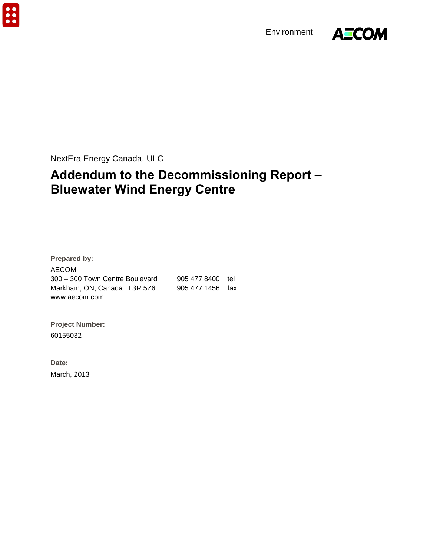$\ddot{\bullet}$ 

Environment



NextEra Energy Canada, ULC

# **Addendum to the Decommissioning Report – Bluewater Wind Energy Centre**

**Prepared by:**  AECOM 300 – 300 Town Centre Boulevard 905 477 8400 tel Markham, ON, Canada L3R 5Z6 905 477 1456 fax www.aecom.com

**Project Number:**  60155032

**Date:**  March, 2013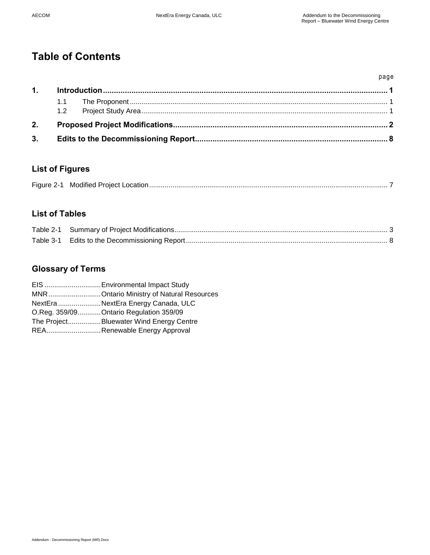# **Table of Contents**

|    |  | page |
|----|--|------|
| 1. |  |      |
|    |  |      |
|    |  |      |
| 2. |  |      |
| 3. |  |      |

## **List of Figures**

|--|--|--|

## **List of Tables**

## **Glossary of Terms**

| EIS  Environmental Impact Study          |
|------------------------------------------|
| MNROntario Ministry of Natural Resources |
| NextEra NextEra Energy Canada, ULC       |
| O.Reg. 359/09 Ontario Regulation 359/09  |
| The ProjectBluewater Wind Energy Centre  |
| REARenewable Energy Approval             |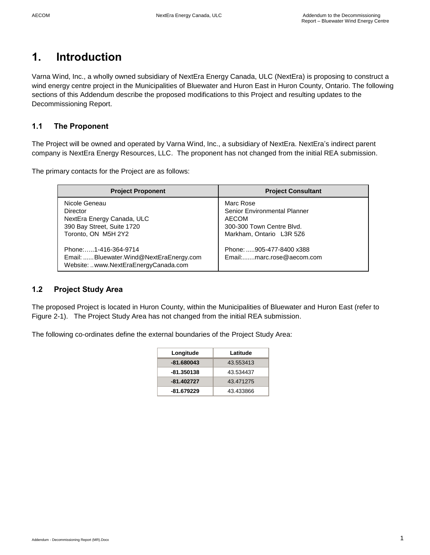# <span id="page-2-0"></span>**1. Introduction**

Varna Wind, Inc., a wholly owned subsidiary of NextEra Energy Canada, ULC (NextEra) is proposing to construct a wind energy centre project in the Municipalities of Bluewater and Huron East in Huron County, Ontario. The following sections of this Addendum describe the proposed modifications to this Project and resulting updates to the Decommissioning Report.

### <span id="page-2-1"></span>**1.1 The Proponent**

The Project will be owned and operated by Varna Wind, Inc., a subsidiary of NextEra. NextEra's indirect parent company is NextEra Energy Resources, LLC. The proponent has not changed from the initial REA submission.

The primary contacts for the Project are as follows:

| <b>Project Proponent</b>                                                                                     | <b>Project Consultant</b>                                                                                          |
|--------------------------------------------------------------------------------------------------------------|--------------------------------------------------------------------------------------------------------------------|
| Nicole Geneau<br>Director<br>NextEra Energy Canada, ULC<br>390 Bay Street, Suite 1720<br>Toronto, ON M5H 2Y2 | Marc Rose<br>Senior Environmental Planner<br><b>AECOM</b><br>300-300 Town Centre Blvd.<br>Markham, Ontario L3R 5Z6 |
| Phone:1-416-364-9714<br>Email: Bluewater.Wind@NextEraEnergy.com<br>Website: www.NextEraEnergyCanada.com      | Phone: 905-477-8400 x388<br>Email:marc.rose@aecom.com                                                              |

### <span id="page-2-2"></span>**1.2 Project Study Area**

The proposed Project is located in Huron County, within the Municipalities of Bluewater and Huron East (refer to Figure 2-1). The Project Study Area has not changed from the initial REA submission.

The following co-ordinates define the external boundaries of the Project Study Area:

| Longitude    | Latitude  |
|--------------|-----------|
| $-81.680043$ | 43.553413 |
| -81.350138   | 43.534437 |
| $-81.402727$ | 43.471275 |
| -81.679229   | 43.433866 |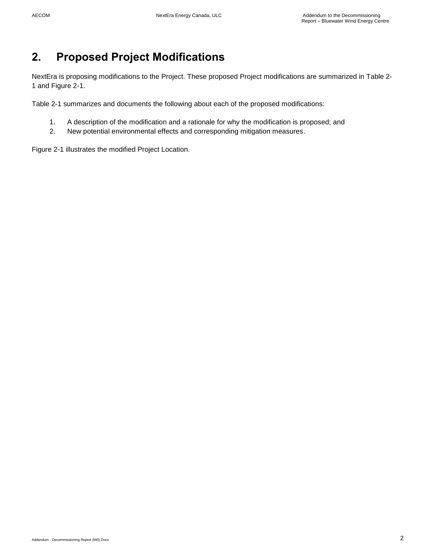# <span id="page-3-0"></span>**2. Proposed Project Modifications**

NextEra is proposing modifications to the Project. These proposed Project modifications are summarized in Table 2- 1 and Figure 2-1.

Table 2-1 summarizes and documents the following about each of the proposed modifications:

- 1. A description of the modification and a rationale for why the modification is proposed; and
- 2. New potential environmental effects and corresponding mitigation measures.

Figure 2-1 illustrates the modified Project Location.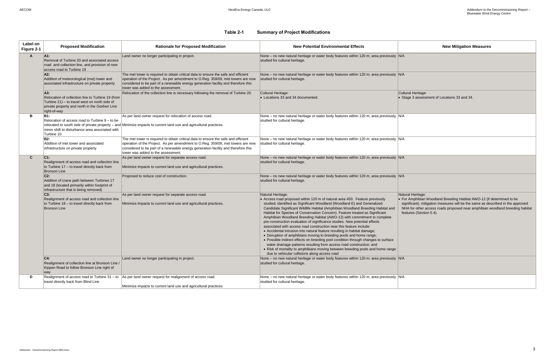**Tral Heritage:** age 3 assessment of Locations 33 and 34.

### **Table 2-1 Summary of Project Modifications**

 For Amphibian Woodland Breeding Habitat AWO-12 (if determined to be significant), mitigation measures will be the same as described in the approved NHA for other access roads proposed near amphibian woodland breeding habitat tures (Section 5.4).

<span id="page-4-0"></span>

| Label on<br>Figure 2-1 | <b>Proposed Modification</b>                                                                                                                                               | <b>Rationale for Proposed Modification</b>                                                                                                                                                                                                                                                        | <b>New Potential Environmental Effects</b>                                                                                                                                                                                                                                                                                                                                                                                                                                                                                                                                                                                                                                                                                                                                                                                                                                                                                                                                                                                          |                                                    |
|------------------------|----------------------------------------------------------------------------------------------------------------------------------------------------------------------------|---------------------------------------------------------------------------------------------------------------------------------------------------------------------------------------------------------------------------------------------------------------------------------------------------|-------------------------------------------------------------------------------------------------------------------------------------------------------------------------------------------------------------------------------------------------------------------------------------------------------------------------------------------------------------------------------------------------------------------------------------------------------------------------------------------------------------------------------------------------------------------------------------------------------------------------------------------------------------------------------------------------------------------------------------------------------------------------------------------------------------------------------------------------------------------------------------------------------------------------------------------------------------------------------------------------------------------------------------|----------------------------------------------------|
| A                      | A1:<br>Removal of Turbine 20 and associated access<br>road and collection line, and provision of new<br>access road to Turbine 19                                          | Land owner no longer participating in project.                                                                                                                                                                                                                                                    | None - no new natural heritage or water body features within 120 m; area previously N/A<br>studied for cultural heritage.                                                                                                                                                                                                                                                                                                                                                                                                                                                                                                                                                                                                                                                                                                                                                                                                                                                                                                           |                                                    |
|                        | A2:<br>Addition of meteorological (met) tower and<br>associated infrastructure on private property                                                                         | The met tower is required to obtain critical data to ensure the safe and efficient<br>operation of the Project. As per amendment to O.Reg. 359/09, met towers are now<br>considered to be part of a renewable energy generation facility and therefore this<br>tower was added to the assessment. | None – no new natural heritage or water body features within 120 m; area previously N/A<br>studied for cultural heritage.                                                                                                                                                                                                                                                                                                                                                                                                                                                                                                                                                                                                                                                                                                                                                                                                                                                                                                           |                                                    |
|                        | A3.<br>Relocation of collection line to Turbine 19 (from<br>Turbine 21) - to travel west on north side of<br>private property and north in the Goshen Line<br>right-of-way | Relocation of the collection line is necessary following the removal of Turbine 20.                                                                                                                                                                                                               | Cultural Heritage:<br>• Locations 33 and 34 documented.                                                                                                                                                                                                                                                                                                                                                                                                                                                                                                                                                                                                                                                                                                                                                                                                                                                                                                                                                                             | Cultu<br>$\bullet$ Sta                             |
| в                      | <b>B1:</b><br>Relocation of access road to Turbine 9 - to be<br>minor shift to disturbance area associated with<br>Turbine 10                                              | As per land owner request for relocation of access road.<br>relocated to south side of private property - and Minimize impacts to current land use and agricultural practices.                                                                                                                    | None – no new natural heritage or water body features within 120 m; area previously N/A<br>studied for cultural heritage.                                                                                                                                                                                                                                                                                                                                                                                                                                                                                                                                                                                                                                                                                                                                                                                                                                                                                                           |                                                    |
|                        | <b>B2:</b><br>Addition of met tower and associated<br>infrastructure on private property                                                                                   | The met tower is required to obtain critical data to ensure the safe and efficient<br>operation of the Project. As per amendment to O.Reg. 359/09, met towers are now<br>considered to be part of a renewable energy generation facility and therefore this<br>tower was added to the assessment. | None – no new natural heritage or water body features within 120 m; area previously N/A<br>studied for cultural heritage.                                                                                                                                                                                                                                                                                                                                                                                                                                                                                                                                                                                                                                                                                                                                                                                                                                                                                                           |                                                    |
| $\mathbf{C}$           | $C1$ :<br>Realignment of access road and collection line<br>to Turbine 17 - to travel directly back from<br><b>Bronson Line</b>                                            | As per land owner request for separate access road.<br>Minimize impacts to current land use and agricultural practices.                                                                                                                                                                           | None - no new natural heritage or water body features within 120 m; area previously N/A<br>studied for cultural heritage.                                                                                                                                                                                                                                                                                                                                                                                                                                                                                                                                                                                                                                                                                                                                                                                                                                                                                                           |                                                    |
|                        | $C2$ :<br>Addition of crane path between Turbines 17<br>and 18 (located primarily within footprint of<br>infrastructure that is being removed)                             | Proposed to reduce cost of construction.                                                                                                                                                                                                                                                          | None - no new natural heritage or water body features within 120 m; area previously N/A<br>studied for cultural heritage.                                                                                                                                                                                                                                                                                                                                                                                                                                                                                                                                                                                                                                                                                                                                                                                                                                                                                                           |                                                    |
|                        | C3:<br>Realignment of access road and collection line<br>to Turbine 18 - to travel directly back from<br><b>Bronson Line</b>                                               | As per land owner request for separate access road.<br>Minimize impacts to current land use and agricultural practices.                                                                                                                                                                           | Natural Heritage:<br>• Access road proposed within 120 m of natural area 450. Feature previously<br>studied; identified as Significant Woodland (Woodland E) and Generalized<br>Candidate Significant Wildlife Habitat (Amphibian Woodland Breeding Habitat and<br>Habitat for Species of Conservation Concern). Feature treated as Significant<br>Amphibian Woodland Breeding Habitat (AWO-12) with commitment to complete<br>pre-construction evaluation of significance studies. New potential effects<br>associated with access road construction near this feature include:<br>• Accidental intrusion into natural feature resulting in habitat damage;<br>• Disruption of amphibians moving to breeding pools and home range;<br>• Possible indirect effects on breeding pool condition through changes to surface<br>water drainage patterns resulting from access road construction; and<br>• Risk of mortality to amphibians moving between breeding pools and home range<br>due to vehicular collisions along access road | Natur<br>$\bullet$ For<br>sigi<br><b>NH</b><br>fea |
|                        | C4.<br>Realignment of collection line at Bronson Line /<br>Kippen Road to follow Bronson Line right of<br>way                                                              | Land owner no longer participating in project.                                                                                                                                                                                                                                                    | None – no new natural heritage or water body features within 120 m; area previously $ N/A $<br>studied for cultural heritage.                                                                                                                                                                                                                                                                                                                                                                                                                                                                                                                                                                                                                                                                                                                                                                                                                                                                                                       |                                                    |
| D                      | Realignment of access road to Turbine 31 - to<br>travel directly back from Blind Line                                                                                      | As per land owner request for realignment of access road.<br>Minimize impacts to current land use and agricultural practices.                                                                                                                                                                     | None – no new natural heritage or water body features within 120 m; area previously N/A<br>studied for cultural heritage.                                                                                                                                                                                                                                                                                                                                                                                                                                                                                                                                                                                                                                                                                                                                                                                                                                                                                                           |                                                    |

Natural Heritage: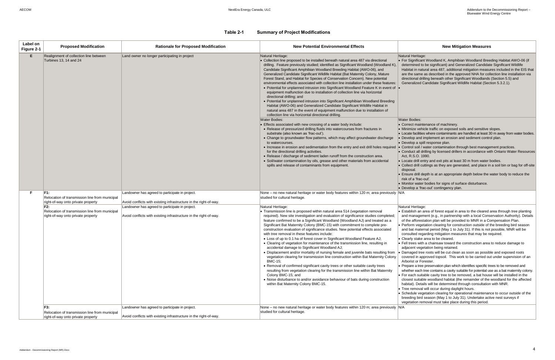#### Heritage:

Significant Woodland K, Amphibian Woodland Breeding Habitat AWO-06 (if mined to be significant) and Generalized Candidate Significant Wildlife tat in natural area 487, additional mitigation measures included in the EIS that he same as described in the approved NHA for collection line installation via tional drilling beneath other Significant Woodlands (Section 5.5) and eralized Candidate Significant Wildlife Habitat (Section 5.3.2.1).

Bodies:

ect maintenance of machinery.

- nize vehicle traffic on exposed soils and sensitive slopes.
- le facilities where contaminants are handled at least 30 m away from water bodies. lop and implement an erosion and sediment control plan.
- lop a spill response plan.
- rol soil / water contamination through best management practices.
- luct all drilling by licensed drillers in accordance with Ontario Water Resources R.S.O. 1990.
- te drill entry and exit pits at least 30 m from water bodies.
- ect drill cuttings as they are generated, and place in a soil bin or bag for off-site disposal.
	- Ire drill depth is at an appropriate depth below the water body to reduce the of a 'frac-out'.
	- tor water bodies for signs of surface disturbance.
	- lop a 'frac-out' contingency plan.

**Heritage:** 

- blish an area of forest equal in area to the cleared area through tree planting management (e.g., in partnership with a local Conservation Authority). Details e afforestation plan will be provided to MNR in a Compensation Plan. orm vegetation clearing for construction outside of the breeding bird season bat maternal period (May 1 to July 31). If this is not possible, MNR will be
- ulted regarding mitigation measures that may be required.
- arly stake area to be cleared.
- trees with a chainsaw toward the construction area to reduce damage to cent vegetation being retained.
- aged tree roots will be cut clean as soon as possible and exposed roots red in approved topsoil. This work to be carried out under supervision of an rist or Forester.
- bare a tree preservation plan which identifies specific trees to be removed and ther each tree contains a cavity suitable for potential use as a bat maternity colony. each suitable cavity tree to be removed, a bat house will be installed in the est suitable woodland habitat (the remainder of the woodland for the affected itat). Details will be determined through consultation with MNR.
- e removal will occur during daylight hours.
- edule vegetation clearing for operational maintenance to occur outside of the ding bird season (May 1 to July 31). Undertake active nest surveys if tation removal must take place during this period.

#### **Table 2-1 Summary of Project Modifications**

| Label on<br>Figure 2-1 | <b>Proposed Modification</b>                                                                | <b>Rationale for Proposed Modification</b>                                                                           | <b>New Potential Environmental Effects</b>                                                                                                                                                                                                                                                                                                                                                                                                                                                                                                                                                                                                                                                                                                                                                                                                                                                                                                                                                                                                                                                                                                                                                                                       |                                                                                                                                                                                                                                                                     |
|------------------------|---------------------------------------------------------------------------------------------|----------------------------------------------------------------------------------------------------------------------|----------------------------------------------------------------------------------------------------------------------------------------------------------------------------------------------------------------------------------------------------------------------------------------------------------------------------------------------------------------------------------------------------------------------------------------------------------------------------------------------------------------------------------------------------------------------------------------------------------------------------------------------------------------------------------------------------------------------------------------------------------------------------------------------------------------------------------------------------------------------------------------------------------------------------------------------------------------------------------------------------------------------------------------------------------------------------------------------------------------------------------------------------------------------------------------------------------------------------------|---------------------------------------------------------------------------------------------------------------------------------------------------------------------------------------------------------------------------------------------------------------------|
| E.                     | Realignment of collection line between<br>Turbines 13, 14 and 24                            | Land owner no longer participating in project                                                                        | Natural Heritage:<br>Collection line proposed to be installed beneath natural area 487 via directional<br>drilling. Feature previously studied; identified as Significant Woodland (Woodland K),<br>Candidate Significant Amphibian Woodland Breeding Habitat (AWO-06), and<br>Generalized Candidate Significant Wildlife Habitat (Bat Maternity Colony, Mature<br>Forest Stand, and Habitat for Species of Conservation Concern). New potential<br>environmental effects associated with collection line installation under these features:<br>• Potential for unplanned intrusion into Significant Woodland Feature K in event of  •<br>equipment malfunction due to installation of collection line via horizontal<br>directional drilling; and<br>• Potential for unplanned intrusion into Significant Amphibian Woodland Breeding<br>Habitat (AWO-06) and Generalized Candidate Significant Wildlife Habitat in<br>natural area 487 in the event of equipment malfunction due to installation of<br>collection line via horizontal directional drilling.                                                                                                                                                                    | Natural<br>$\bullet$ For S<br>deter<br>Habit<br>are th<br>direc<br>Gene                                                                                                                                                                                             |
|                        |                                                                                             |                                                                                                                      | <b>Water Bodies:</b><br>• Effects associated with new crossing of a water body include:<br>• Release of pressurized drilling fluids into watercourses from fractures in<br>substrate (also known as 'frac-out').<br>• Change to groundwater flow patterns, which may affect groundwater discharge<br>to watercourses.<br>• Increase in erosion and sedimentation from the entry and exit drill holes required<br>for the directional drilling activities.<br>• Release / discharge of sediment laden runoff from the construction area.<br>• Soil/water contamination by oils, grease and other materials from accidental<br>spills and release of contaminants from equipment.                                                                                                                                                                                                                                                                                                                                                                                                                                                                                                                                                  | Water I<br>$\bullet$ Corre<br>• Minin<br>$\bullet$ Locat<br>$\bullet$ Deve<br>$\bullet$ Deve<br>$\bullet$ Conti<br>$\bullet$ Conc<br>Act, R<br>$\bullet$ Loca<br>• Colle<br>dispo<br>$\bullet$ Ensu<br>risk c<br>• Moni<br>$\bullet$ Deve                           |
| F.                     | F1:<br>Relocation of transmission line from municipal<br>right-of-way onto private property | Landowner has agreed to participate in project.<br>Avoid conflicts with existing infrastructure in the right-of-way. | None - no new natural heritage or water body features within 120 m; area previously N/A<br>studied for cultural heritage.                                                                                                                                                                                                                                                                                                                                                                                                                                                                                                                                                                                                                                                                                                                                                                                                                                                                                                                                                                                                                                                                                                        |                                                                                                                                                                                                                                                                     |
|                        | F2:<br>Relocation of transmission line from municipal<br>right-of-way onto private property | Landowner has agreed to participate in project.<br>Avoid conflicts with existing infrastructure in the right-of-way. | Natural Heritage:<br>• Transmission line is proposed within natural area 514 (vegetation removal<br>required). New site investigation and evaluation of significance studies completed;<br>feature confirmed to be a Significant Woodland (Woodland AJ) and treated as a<br>Significant Bat Maternity Colony (BMC-15) with commitment to complete pre-<br>construction evaluation of significance studies. New potential effects associated<br>with tree removal in these features include:<br>• Loss of up to 0.1 ha of forest cover in Significant Woodland Feature AJ;<br>• Clearing of vegetation for maintenance of the transmission line, resulting in<br>accidental damage to Significant Woodland AJ;<br>. Displacement and/or mortality of nursing female and juvenile bats resulting from<br>vegetation clearing for transmission line construction within Bat Maternity Colony<br><b>BMC-15:</b><br>• Removal of confirmed significant cavity trees or other suitable cavity trees<br>resulting from vegetation clearing for the transmission line within Bat Maternity<br>Colony BMC-15; and<br>• Noise disturbance to and/or avoidance behaviour of bats during construction<br>within Bat Maternity Colony BMC-15. | Natural<br>$\bullet$ Estat<br>and r<br>of the<br>• Perfo<br>and b<br>cons<br>• Clear<br>$\bullet$ Fell t<br>adjac<br>$\bullet$ Dama<br>cover<br>Arbor<br>• Prepa<br>wheth<br>$\bullet$ For e<br>close<br>habit<br>$\bullet$ Tree<br>$\bullet$ Sche<br>breed<br>vege |
|                        | F3:<br>Relocation of transmission line from municipal<br>right-of-way onto private property | Landowner has agreed to participate in project.<br>Avoid conflicts with existing infrastructure in the right-of-way. | None – no new natural heritage or water body features within 120 m; area previously N/A<br>studied for cultural heritage.                                                                                                                                                                                                                                                                                                                                                                                                                                                                                                                                                                                                                                                                                                                                                                                                                                                                                                                                                                                                                                                                                                        |                                                                                                                                                                                                                                                                     |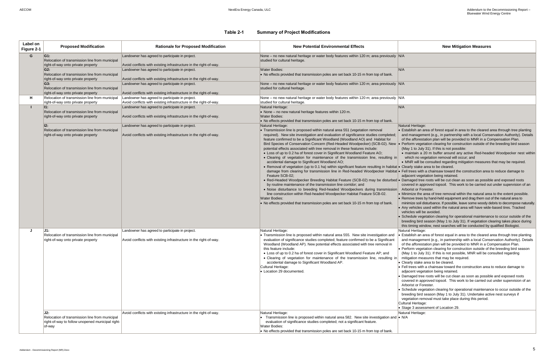ral Heritage:

tablish an area of forest equal in area to the cleared area through tree planting d management (e.g., in partnership with a local Conservation Authority). Details the afforestation plan will be provided to MNR in a Compensation Plan.

rform vegetation clearing for construction outside of the breeding bird season ay 1 to July 31). If this is not possible:

#### **Table 2-1 Summary of Project Modifications**

naintain a 20 m buffer around any active Red-headed Woodpecker nest within which no vegetation removal will occur; and

 MNR will be consulted regarding mitigation measures that may be required. arly stake area to be cleared.

I trees with a chainsaw toward the construction area to reduce damage to acent vegetation being retained.

maged tree roots will be cut clean as soon as possible and exposed roots vered in approved topsoil. This work to be carried out under supervision of an orist or Forester.

himize the area of tree removal within the natural area to the extent possible. move trees by hand-held equipment and drag them out of the natural area to

himize soil disturbance. If possible, leave some woody debris to decompose naturally. y vehicles used within the natural area will have wide-based tires. Tracked nicles will be avoided.

hedule vegetation clearing for operational maintenance to occur outside of the eding bird season (May 1 to July 31). If vegetation clearing takes place during s timing window, nest searches will be conducted by qualified Biologist. ral Heritage:

tablish an area of forest equal in area to the cleared area through tree planting d management (e.g., in partnership with a local Conservation Authority). Details the afforestation plan will be provided to MNR in a Compensation Plan.

rform vegetation clearing for construction outside of the breeding bird season ay 1 to July 31). If this is not possible, MNR will be consulted regarding tigation measures that may be required.

early stake area to be cleared.

I trees with a chainsaw toward the construction area to reduce damage to jacent vegetation being retained.

maged tree roots will be cut clean as soon as possible and exposed roots vered in approved topsoil. This work to be carried out under supervision of an borist or Forester.

hedule vegetation clearing for operational maintenance to occur outside of the eding bird season (May 1 to July 31). Undertake active nest surveys if getation removal must take place during this period.

Iral Heritage:

age 3 assessment of Location 29.

ral Heritage:

| Label on<br>Figure 2-1 | <b>Proposed Modification</b>                                                                                        | <b>Rationale for Proposed Modification</b>                                                                           | <b>New Potential Environmental Effects</b>                                                                                                                                                                                                                                                                                                                                                                                                                                                                                                                                                                                                                                                                                                                                                                                                                                                                                                                                                                                                                                                                                                                                                                                                                                                    |                                                                                                                                                                                                                 |
|------------------------|---------------------------------------------------------------------------------------------------------------------|----------------------------------------------------------------------------------------------------------------------|-----------------------------------------------------------------------------------------------------------------------------------------------------------------------------------------------------------------------------------------------------------------------------------------------------------------------------------------------------------------------------------------------------------------------------------------------------------------------------------------------------------------------------------------------------------------------------------------------------------------------------------------------------------------------------------------------------------------------------------------------------------------------------------------------------------------------------------------------------------------------------------------------------------------------------------------------------------------------------------------------------------------------------------------------------------------------------------------------------------------------------------------------------------------------------------------------------------------------------------------------------------------------------------------------|-----------------------------------------------------------------------------------------------------------------------------------------------------------------------------------------------------------------|
| G                      | G1:<br>Relocation of transmission line from municipal<br>right-of-way onto private property                         | Landowner has agreed to participate in project.<br>Avoid conflicts with existing infrastructure in the right-of-way. | None – no new natural heritage or water body features within 120 m; area previously N/A<br>studied for cultural heritage.                                                                                                                                                                                                                                                                                                                                                                                                                                                                                                                                                                                                                                                                                                                                                                                                                                                                                                                                                                                                                                                                                                                                                                     |                                                                                                                                                                                                                 |
|                        | G2:<br>Relocation of transmission line from municipal<br>right-of-way onto private property                         | Landowner has agreed to participate in project.<br>Avoid conflicts with existing infrastructure in the right-of-way. | <b>Water Bodies:</b><br>• No effects provided that transmission poles are set back 10-15 m from top of bank.                                                                                                                                                                                                                                                                                                                                                                                                                                                                                                                                                                                                                                                                                                                                                                                                                                                                                                                                                                                                                                                                                                                                                                                  | N/A                                                                                                                                                                                                             |
|                        | G3:<br>Relocation of transmission line from municipal<br>right-of-way onto private property                         | Landowner has agreed to participate in project.<br>Avoid conflicts with existing infrastructure in the right-of-way. | None - no new natural heritage or water body features within 120 m; area previously N/A<br>studied for cultural heritage.                                                                                                                                                                                                                                                                                                                                                                                                                                                                                                                                                                                                                                                                                                                                                                                                                                                                                                                                                                                                                                                                                                                                                                     |                                                                                                                                                                                                                 |
| н                      | Relocation of transmission line from municipal<br>right-of-way onto private property                                | Landowner has agreed to participate in project.<br>Avoid conflicts with existing infrastructure in the right-of-way. | None – no new natural heritage or water body features within 120 m; area previously N/A<br>studied for cultural heritage.                                                                                                                                                                                                                                                                                                                                                                                                                                                                                                                                                                                                                                                                                                                                                                                                                                                                                                                                                                                                                                                                                                                                                                     |                                                                                                                                                                                                                 |
| т                      | $\mathbf{I1}$ :<br>Relocation of transmission line from municipal<br>right-of-way onto private property             | Landowner has agreed to participate in project.<br>Avoid conflicts with existing infrastructure in the right-of-way. | Natural Heritage:<br>• None - no new natural heritage features within 120 m.<br><b>Water Bodies:</b><br>• No effects provided that transmission poles are set back 10-15 m from top of bank.                                                                                                                                                                                                                                                                                                                                                                                                                                                                                                                                                                                                                                                                                                                                                                                                                                                                                                                                                                                                                                                                                                  | N/A                                                                                                                                                                                                             |
|                        | 12:<br>Relocation of transmission line from municipal<br>right-of-way onto private property                         | Landowner has agreed to participate in project.<br>Avoid conflicts with existing infrastructure in the right-of-way. | Natural Heritage:<br>• Transmission line is proposed within natural area 551 (vegetation removal<br>required). New site investigation and evaluation of significance studies completed;<br>feature confirmed to be a Significant Woodland (Woodland AO) and Habitat for<br>Bird Species of Conservation Concern (Red-Headed Woodpecker) (SCB-02). New  .<br>potential effects associated with tree removal in these features include:<br>• Loss of up to 0.2 ha of forest cover in Significant Woodland Feature AO;<br>. Clearing of vegetation for maintenance of the transmission line, resulting in<br>accidental damage to Significant Woodland AO;<br>• Removal of vegetation (up to 0.1 ha) within significant feature resulting in habitat • Cle<br>damage from clearing for transmission line in Red-headed Woodpecker Habitat . Fell<br>Feature SCB-02;<br>• Red-Headed Woodpecker Breeding Habitat Feature (SCB-02) may be disturbed • Dar<br>by routine maintenance of the transmission line corridor; and<br>. Noise disturbance to breeding Red-headed Woodpeckers during transmission<br>line construction within Red-headed Woodpecker Habitat Feature SCB-02.<br><b>Water Bodies:</b><br>• No effects provided that transmission poles are set back 10-15 m from top of bank. | Natur<br>$\bullet$ Esta<br>and<br>of th<br>Per<br>(Ma<br>$\bullet$ m<br>W<br>$\bullet$ M<br>adja<br>COV<br>Arb<br>$\bullet$ Min<br>$\bullet$ Ren<br>min<br>$\bullet$ Any<br>veh<br>$\bullet$ Sch<br>bre<br>this |
| J                      | J1:<br>Relocation of transmission line from municipal<br>right-of-way onto private property                         | Landowner has agreed to participate in project.<br>Avoid conflicts with existing infrastructure in the right-of-way. | Natural Heritage:<br>• Transmission line is proposed within natural area 555. New site investigation and<br>evaluation of significance studies completed; feature confirmed to be a Significant<br>Woodland (Woodland AP). New potential effects associated with tree removal in<br>this feature include:<br>• Loss of up to 0.2 ha of forest cover in Significant Woodland Feature AP; and<br>• Clearing of vegetation for maintenance of the transmission line, resulting in<br>accidental damage to Significant Woodland AP.<br>Cultural Heritage:<br>• Location 29 documented.                                                                                                                                                                                                                                                                                                                                                                                                                                                                                                                                                                                                                                                                                                            | Natur<br>$\cdot$ Esta<br>and<br>of tl<br>$\bullet$ Per<br>(Ma<br>miti<br>$\bullet$ Cle<br>$\bullet$ Fell<br>adja<br>• Dar<br>COV<br>Arb<br>$\bullet$ Sch<br>bre<br>veg<br>Cultur<br>$\bullet$ Sta               |
|                        | J2:<br>Relocation of transmission line from municipal<br>right-of-way to follow unopened municipal right-<br>of-way | Avoid conflicts with existing infrastructure in the right-of-way.                                                    | Natural Heritage:<br>• Transmission line is proposed within natural area 582. New site investigation and $\cdot$ N/A<br>evaluation of significance studies completed; not a significant feature.<br>Water Bodies:<br>• No effects provided that transmission poles are set back 10-15 m from top of bank.                                                                                                                                                                                                                                                                                                                                                                                                                                                                                                                                                                                                                                                                                                                                                                                                                                                                                                                                                                                     | Natur                                                                                                                                                                                                           |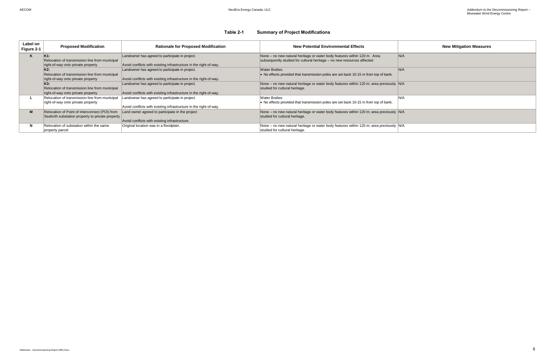### **Table 2-1 Summary of Project Modifications**

| Label on<br>Figure 2-1 | <b>Proposed Modification</b>                                                                            | <b>Rationale for Proposed Modification</b>                                                                           | <b>New Potential Environmental Effects</b>                                                                                                          |      |
|------------------------|---------------------------------------------------------------------------------------------------------|----------------------------------------------------------------------------------------------------------------------|-----------------------------------------------------------------------------------------------------------------------------------------------------|------|
| K                      | K <sub>1:</sub><br>Relocation of transmission line from municipal<br>right-of-way onto private property | Landowner has agreed to participate in project.<br>Avoid conflicts with existing infrastructure in the right-of-way. | None – no new natural heritage or water body features within 120 m. Area<br>subsequently studied for cultural heritage - no new resources affected. | N/A  |
|                        | K2:<br>Relocation of transmission line from municipal<br>right-of-way onto private property             | Landowner has agreed to participate in project.<br>Avoid conflicts with existing infrastructure in the right-of-way. | <b>Water Bodies:</b><br>• No effects provided that transmission poles are set back 10-15 m from top of bank.                                        | N/A  |
|                        | K3:<br>Relocation of transmission line from municipal<br>right-of-way onto private property             | Landowner has agreed to participate in project.<br>Avoid conflicts with existing infrastructure in the right-of-way. | None – no new natural heritage or water body features within 120 m; area previously N/A<br>studied for cultural heritage.                           |      |
|                        | Relocation of transmission line from municipal<br>right-of-way onto private property                    | Landowner has agreed to participate in project.<br>Avoid conflicts with existing infrastructure in the right-of-way. | Water Bodies:<br>$\bullet$ No effects provided that transmission poles are set back 10-15 m from top of bank.                                       | IN/A |
| M                      | Relocation of Point of Interconnect (POI) from<br>Seaforth substation property to private property      | Land owner agreed to participate in the project<br>Avoid conflicts with existing infrastructure.                     | None - no new natural heritage or water body features within 120 m; area previously N/A<br>studied for cultural heritage.                           |      |
| N                      | Relocation of substation within the same<br>property parcel                                             | Original location was in a floodplain.                                                                               | None – no new natural heritage or water body features within 120 m; area previously N/A<br>studied for cultural heritage.                           |      |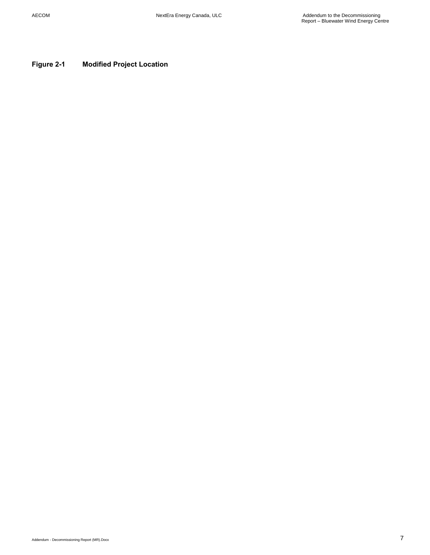<span id="page-8-0"></span>**Figure 2-1 Modified Project Location**